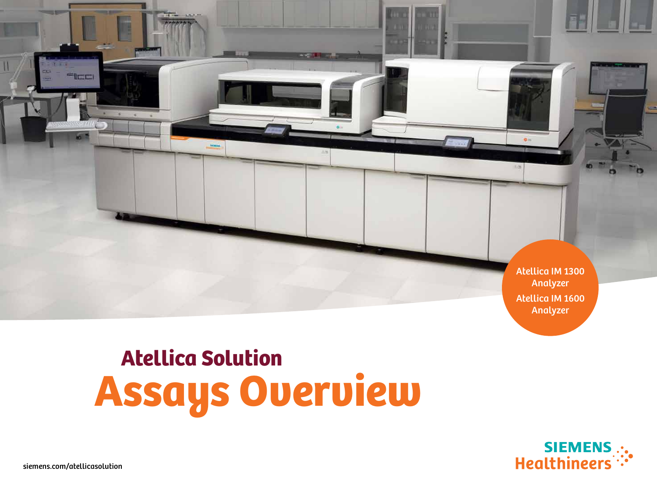

# Atellica Solution Assays Overview



**FILE**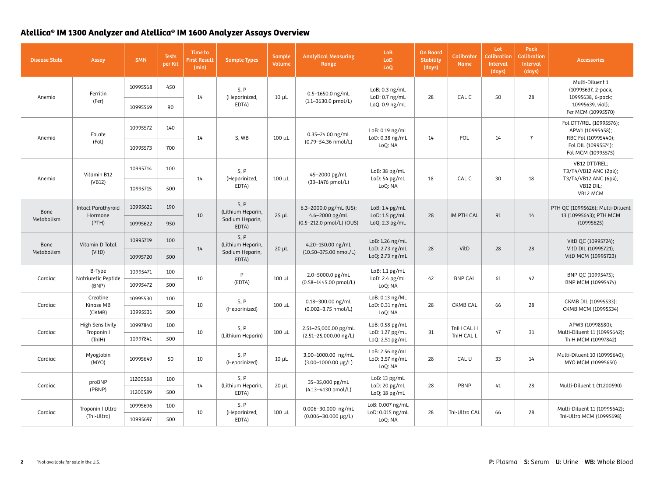| <b>Disease State</b>                   | Assay                          | <b>SMN</b> | <b>Tests</b><br>per Kit | Time to<br><b>First Result</b><br>(min) | <b>Sample Types</b>                                   | <b>Sample</b><br><b>Volume</b> | <b>Analytical Measuring</b><br>Range                  | LoB<br>LoD<br>LoQ                             | <b>On Board</b><br><b>Stability</b><br>(days) | <b>Calibrator</b><br><b>Name</b> | Lot<br><b>Calibration</b><br>Interval<br>(days) | Pack<br><b>Calibration</b><br>Interval<br>(days) | <b>Accessories</b>                                                                                              |
|----------------------------------------|--------------------------------|------------|-------------------------|-----------------------------------------|-------------------------------------------------------|--------------------------------|-------------------------------------------------------|-----------------------------------------------|-----------------------------------------------|----------------------------------|-------------------------------------------------|--------------------------------------------------|-----------------------------------------------------------------------------------------------------------------|
| Anemia                                 | Ferritin                       | 10995568   | 450                     | 14                                      | S, P<br>(Heparinized,                                 | $10 \mu L$                     | 0.5-1650.0 ng/mL<br>$(1.1 - 3630.0 \text{ pmol/L})$   | LoB: 0.3 ng/mL<br>LoD: 0.7 ng/mL              | 28                                            | CAL C                            | 50                                              | 28                                               | Multi-Diluent 1<br>(10995637, 2-pack;<br>10995638, 6-pack;                                                      |
|                                        | (Fer)                          | 10995569   | 90                      |                                         | EDTA)                                                 |                                |                                                       | LoQ: 0.9 ng/mL                                |                                               |                                  |                                                 |                                                  | 10995639, vial);<br>Fer MCM (10995570)                                                                          |
| Anemia                                 | Folate                         | 10995572   | 140                     | 14                                      |                                                       | $100 \mu L$                    | 0.35-24.00 ng/mL                                      | LoB: 0.19 ng/mL<br>LoD: 0.38 ng/mL            | 14                                            | <b>FOL</b>                       | 14                                              | $\overline{7}$                                   | Fol DTT/REL (10995576);<br>APW1 (10995458);<br>RBC Fol (10995440);<br>Fol DIL (10995574);<br>Fol MCM (10995575) |
|                                        | (Fol)                          | 10995573   | 700                     |                                         | S, WB                                                 |                                | (0.79-54.36 nmol/L)                                   | LoQ: NA                                       |                                               |                                  |                                                 |                                                  |                                                                                                                 |
| Anemia                                 | Vitamin B12                    | 10995714   | 100                     |                                         | S, P<br>(Heparinized,<br>EDTA)                        |                                | 45-2000 pg/mL<br>(33-1476 pmol/L)                     | LoB: 38 pg/mL<br>LoD: 54 pg/mL<br>LoQ: NA     | 18                                            | CAL C                            | 30                                              | 18                                               | VB12 DTT/REL;<br>T3/T4/VB12 ANC (2pk);                                                                          |
|                                        | (VB12)                         | 10995715   | 500                     | 14                                      |                                                       | $100 \mu L$                    |                                                       |                                               |                                               |                                  |                                                 |                                                  | T3/T4/VB12 ANC (6pk);<br>VB12 DIL;<br>VB12 MCM                                                                  |
| Bone<br>Hormone<br>Metabolism<br>(PTH) | Intact Parathyroid             | 10995621   | 190                     | 10                                      | S, P<br>(Lithium Heparin,<br>Sodium Heparin,<br>EDTA) | $25 \mu L$                     | 6.3-2000.0 pg/mL (US);<br>4.6-2000 pg/mL              | LoB: 1.4 pg/mL<br>LoD: 1.5 pg/mL              | 28                                            | IM PTH CAL                       | 91                                              | 14                                               | PTH QC (10995626); Multi-Diluent<br>13 (10995643); PTH MCM                                                      |
|                                        |                                | 10995622   | 950                     |                                         |                                                       |                                | (0.5-212.0 pmol/L) (OUS)                              | LoQ: 2.3 pg/mL                                |                                               |                                  |                                                 |                                                  | (10995625)                                                                                                      |
| Bone                                   | Vitamin D Total                | 10995719   | 100                     | 14                                      | S, P<br>(Lithium Heparin,<br>Sodium Heparin,<br>EDTA) | $20 \mu L$                     | 4.20-150.00 ng/mL                                     | LoB: 1.26 ng/mL<br>LoD: 2.73 ng/mL            | 28                                            | VitD                             | 28                                              | 28                                               | VitD QC (10995724);<br>VitD DIL (10995721);                                                                     |
| Metabolism                             | (VitD)                         | 10995720   | 500                     |                                         |                                                       |                                | (10.50-375.00 nmol/L)                                 | LoQ: 2.73 ng/mL                               |                                               |                                  |                                                 |                                                  | VitD MCM (10995723)                                                                                             |
| Cardiac                                | B-Type<br>Natriuretic Peptide  | 10995471   | 100                     | 10                                      | P<br>(EDTA)                                           | $100 \mu L$                    | 2.0-5000.0 pg/mL<br>(0.58-1445.00 pmol/L)             | LoB: 1.1 pg/mL<br>LoD: 2.4 pg/mL<br>LoQ: NA   | 42                                            | <b>BNP CAL</b>                   | 61                                              | 42                                               | BNP QC (10995475);<br>BNP MCM (10995474)                                                                        |
|                                        | (BNP)                          | 10995472   | 500                     |                                         |                                                       |                                |                                                       |                                               |                                               |                                  |                                                 |                                                  |                                                                                                                 |
| Cardiac                                | Creatine<br>Kinase MB          | 10995530   | 100                     | 10                                      | S, P<br>(Heparinized)                                 | $100 \mu L$                    | 0.18-300.00 ng/mL                                     | LoB: 0.13 ng/ML<br>LoD: 0.31 ng/mL            | 28                                            | <b>CKMB CAL</b>                  | 66                                              | 28                                               | CKMB DIL (10995533);<br>CKMB MCM (10995534)                                                                     |
|                                        | (CKMB)                         | 10995531   | 500                     |                                         |                                                       |                                | (0.002-3.75 nmol/L)                                   | LoQ: NA                                       |                                               |                                  |                                                 |                                                  |                                                                                                                 |
| Cardiac                                | High Sensitivity<br>Troponin I | 10997840   | 100                     | 10                                      | S, P                                                  | $100 \mu L$                    | 2.51-25,000.00 pg/mL                                  | LoB: 0.58 pg/mL<br>LoD: 1.27 pg/mL            | 31                                            | TnIH CAL H                       | 47                                              | 31                                               | APW3 (10998580);<br>Multi-Diluent 11 (10995642);                                                                |
|                                        | (Think)                        | 10997841   | 500                     |                                         | (Lithium Heparin)                                     |                                | (2.51-25,000.00 ng/L)                                 | LoQ: 2.51 pg/mL                               |                                               | TnIH CAL L                       |                                                 |                                                  | TnIH MCM (10997842)                                                                                             |
| Cardiac                                | Myoglobin<br>(MYO)             | 10995649   | 50                      | 10                                      | S, P<br>(Heparinized)                                 | $10 \mu L$                     | 3.00-1000.00 ng/mL<br>$(3.00 - 1000.00 \text{ µg/L})$ | LoB: 2.56 ng/mL<br>LoD: 3.57 ng/mL<br>LoQ: NA | 28                                            | CAL U                            | 33                                              | 14                                               | Multi-Diluent 10 (10995640);<br>MYO MCM (10995650)                                                              |
|                                        | proBNP                         | 11200588   | 100                     |                                         | S, P                                                  |                                | 35-35,000 pg/mL                                       | LoB: 13 pg/mL                                 |                                               |                                  |                                                 | 28                                               |                                                                                                                 |
| Cardiac                                | (PBNP)                         | 11200589   | 500                     | 14                                      | (Lithium Heparin,<br>EDTA)                            | $20 \mu L$                     | (4.13-4130 pmol/L)                                    | LoD: 20 pg/mL<br>LoQ: 18 pg/mL                | 28                                            | PBNP                             | 41                                              |                                                  | Multi-Diluent 1 (11200590)                                                                                      |
|                                        | Troponin I Ultra               | 10995696   | 100                     |                                         | S, P                                                  |                                | 0.006-30.000 ng/mL                                    | LoB: 0.007 ng/mL                              |                                               | TnI-Ultra CAL                    |                                                 |                                                  | Multi-Diluent 11 (10995642);                                                                                    |
| Cardiac                                | (TnI-Ultra)                    | 10995697   | 500                     | 10                                      | (Heparinized,<br>EDTA)                                | $100 \mu L$                    | $(0.006 - 30.000 \text{ µg/L})$                       | LoD: 0.015 ng/mL<br>LoQ: NA                   | 28                                            |                                  | 66                                              | 28                                               | TnI-Ultra MCM (10995698)                                                                                        |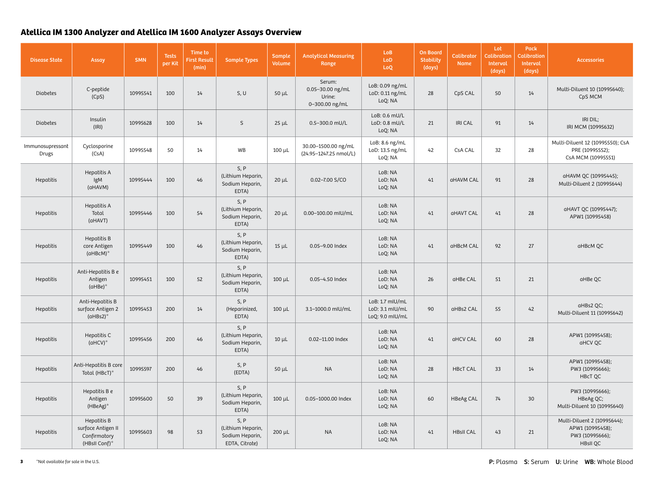| <b>Disease State</b>      | Assay                                                              | <b>SMN</b> | <b>Tests</b><br>per Kit | Time to<br><b>First Result</b><br>(min) | <b>Sample Types</b>                                            | Sample<br>Volume | <b>Analytical Measuring</b><br>Range                   | Lo <sub>B</sub><br>LoD<br>LoQ                         | <b>On Board</b><br><b>Stability</b><br>(days) | <b>Calibrator</b><br><b>Name</b> | Lot<br>Calibration<br>Interval<br>(days) | Pack<br><b>Calibration</b><br>Interval<br>(days) | <b>Accessories</b>                                                                    |
|---------------------------|--------------------------------------------------------------------|------------|-------------------------|-----------------------------------------|----------------------------------------------------------------|------------------|--------------------------------------------------------|-------------------------------------------------------|-----------------------------------------------|----------------------------------|------------------------------------------|--------------------------------------------------|---------------------------------------------------------------------------------------|
| <b>Diabetes</b>           | C-peptide<br>(CpS)                                                 | 10995541   | 100                     | 14                                      | S, U                                                           | $50 \mu L$       | Serum:<br>0.05-30.00 ng/mL<br>Urine:<br>0-300.00 ng/mL | LoB: 0.09 ng/mL<br>LoD: 0.11 ng/mL<br>LoQ: NA         | 28                                            | CpS CAL                          | 50                                       | 14                                               | Multi-Diluent 10 (10995640);<br>CpS MCM                                               |
| <b>Diabetes</b>           | Insulin<br>(IRI)                                                   | 10995628   | 100                     | 14                                      | S                                                              | $25 \mu L$       | 0.5-300.0 mU/L                                         | LoB: 0.6 mU/L<br>LoD: 0.8 mU/L<br>LoQ: NA             | 21                                            | <b>IRI CAL</b>                   | 91                                       | 14                                               | IRI DIL;<br>IRI MCM (10995632)                                                        |
| Immunosupressant<br>Drugs | Cyclosporine<br>(CsA)                                              | 10995548   | 50                      | 14                                      | WB                                                             | $100 \mu L$      | 30.00-1500.00 ng/mL<br>(24.95-1247.25 nmol/L)          | LoB: 8.6 ng/mL<br>LoD: 13.5 ng/mL<br>LoQ: NA          | 42                                            | <b>CsA CAL</b>                   | 32                                       | 28                                               | Multi-Diluent 12 (10995550); CsA<br>PRE (10995552);<br>CsA MCM (10995551)             |
| Hepatitis                 | Hepatitis A<br>IgM<br>(aHAVM)                                      | 10995444   | 100                     | 46                                      | S, P<br>(Lithium Heparin,<br>Sodium Heparin,<br>EDTA)          | $20 \mu L$       | $0.02 - 7.00$ S/CO                                     | LoB: NA<br>LoD: NA<br>LoQ: NA                         | 41                                            | aHAVM CAL                        | 91                                       | 28                                               | aHAVM QC (10995445);<br>Multi-Diluent 2 (10995644)                                    |
| Hepatitis                 | Hepatitis A<br>Total<br>(aHAVT)                                    | 10995446   | 100                     | 54                                      | S, P<br>(Lithium Heparin,<br>Sodium Heparin,<br>EDTA)          | $20 \mu L$       | 0.00-100.00 mIU/mL                                     | LoB: NA<br>LoD: NA<br>LoQ: NA                         | 41                                            | aHAVT CAL                        | 41                                       | 28                                               | aHAVT QC (10995447);<br>APW1 (10995458)                                               |
| Hepatitis                 | Hepatitis B<br>core Antigen<br>(aHBcM)*                            | 10995449   | 100                     | 46                                      | S, P<br>(Lithium Heparin,<br>Sodium Heparin,<br>EDTA)          | $15 \mu L$       | 0.05-9.00 Index                                        | LoB: NA<br>LoD: NA<br>LoQ: NA                         | 41                                            | aHBcM CAL                        | 92                                       | 27                                               | aHBcM QC                                                                              |
| Hepatitis                 | Anti-Hepatitis B e<br>Antigen<br>(aHBe)*                           | 10995451   | 100                     | 52                                      | S, P<br>(Lithium Heparin,<br>Sodium Heparin,<br>EDTA)          | $100 \mu L$      | 0.05-4.50 Index                                        | LoB: NA<br>LoD: NA<br>LoQ: NA                         | 26                                            | aHBe CAL                         | 51                                       | 21                                               | aHBe QC                                                                               |
| Hepatitis                 | Anti-Hepatitis B<br>surface Antigen 2<br>$(dHBs2)*$                | 10995453   | 200                     | 14                                      | S, P<br>(Heparinized,<br>EDTA)                                 | $100 \mu L$      | 3.1-1000.0 mlU/mL                                      | LoB: 1.7 mIU/mL<br>LoD: 3.1 mIU/mL<br>LoQ: 9.0 mlU/mL | 90                                            | aHBs2 CAL                        | 55                                       | 42                                               | aHBs2 QC;<br>Multi-Diluent 11 (10995642)                                              |
| Hepatitis                 | Hepatitis C<br>$(dHCV)*$                                           | 10995456   | 200                     | 46                                      | S, P<br>(Lithium Heparin,<br>Sodium Heparin,<br>EDTA)          | $10 \mu L$       | 0.02-11.00 Index                                       | LoB: NA<br>LoD: NA<br>LoQ: NA                         | 41                                            | aHCV CAL                         | 60                                       | 28                                               | APW1 (10995458);<br>aHCV QC                                                           |
| Hepatitis                 | Anti-Hepatitis B core<br>Total (HBcT)*                             | 10995597   | 200                     | 46                                      | S, P<br>(EDTA)                                                 | $50 \mu L$       | <b>NA</b>                                              | LoB: NA<br>LoD: NA<br>LoQ: NA                         | 28                                            | <b>HBcT CAL</b>                  | 33                                       | 14                                               | APW1 (10995458);<br>PW3 (10995666);<br>HBcT QC                                        |
| Hepatitis                 | Hepatitis B e<br>Antigen<br>(HBeAg)*                               | 10995600   | 50                      | 39                                      | S, P<br>(Lithium Heparin,<br>Sodium Heparin,<br>EDTA)          | $100 \mu L$      | 0.05-1000.00 Index                                     | LoB: NA<br>LoD: NA<br>LoQ: NA                         | 60                                            | <b>HBeAg CAL</b>                 | 74                                       | 30                                               | PW3 (10995666);<br>HBeAg QC;<br>Multi-Diluent 10 (10995640)                           |
| Hepatitis                 | Hepatitis B<br>surface Antigen II<br>Confirmatory<br>(HBsII Conf)* | 10995603   | 98                      | 53                                      | S, P<br>(Lithium Heparin,<br>Sodium Heparin,<br>EDTA, Citrate) | $200 \mu L$      | <b>NA</b>                                              | LoB: NA<br>LoD: NA<br>LoQ: NA                         | 41                                            | <b>HBsII CAL</b>                 | 43                                       | 21                                               | Multi-Diluent 2 (10995644);<br>APW1 (10995458);<br>PW3 (10995666);<br><b>HBsII QC</b> |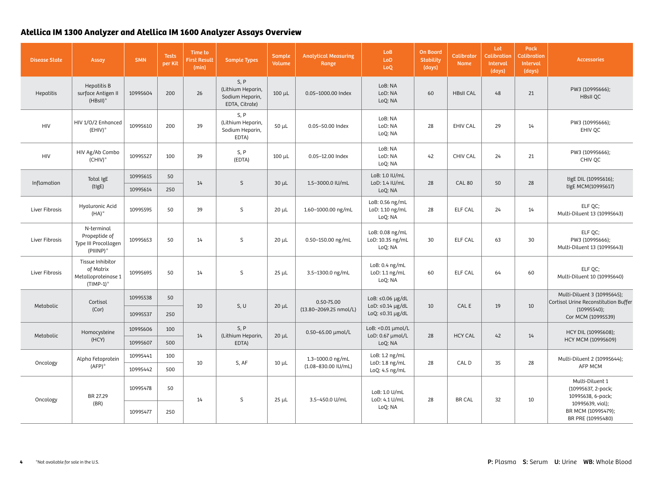| <b>Disease State</b> | Assay                                                                | <b>SMN</b>            | <b>Tests</b><br>per Kit | Time to<br><b>First Result</b><br>(min) | <b>Sample Types</b>                                            | Sample<br>Volume       | <b>Analytical Measuring</b><br>Range             | <b>LoB</b><br>LoD<br>LoQ                       | <b>On Board</b><br><b>Stability</b><br>(days) | <b>Calibrator</b><br><b>Name</b> | Lot<br><b>Calibration</b><br>Interval<br>(days) | Pack<br><b>Calibration</b><br>Interval<br>(days) | <b>Accessories</b>                                                  |
|----------------------|----------------------------------------------------------------------|-----------------------|-------------------------|-----------------------------------------|----------------------------------------------------------------|------------------------|--------------------------------------------------|------------------------------------------------|-----------------------------------------------|----------------------------------|-------------------------------------------------|--------------------------------------------------|---------------------------------------------------------------------|
| Hepatitis            | Hepatitis B<br>surface Antigen II<br>(HBsII)*                        | 10995604              | 200                     | 26                                      | S, P<br>(Lithium Heparin,<br>Sodium Heparin,<br>EDTA, Citrate) | $100 \mu L$            | 0.05-1000.00 Index                               | LoB: NA<br>LoD: NA<br>LoQ: NA                  | 60                                            | <b>HBsII CAL</b>                 | $48\,$                                          | 21                                               | PW3 (10995666);<br><b>HBsII QC</b>                                  |
| <b>HIV</b>           | HIV 1/0/2 Enhanced<br>$(EHIV)^*$                                     | 10995610              | 200                     | 39                                      | S, P<br>(Lithium Heparin,<br>Sodium Heparin,<br>EDTA)          | $50 \mu L$             | 0.05-50.00 Index                                 | LoB: NA<br>LoD: NA<br>LoQ: NA                  | 28                                            | <b>EHIV CAL</b>                  | 29                                              | 14                                               | PW3 (10995666);<br>EHIV QC                                          |
| <b>HIV</b>           | HIV Ag/Ab Combo<br>$(CHIV)^*$                                        | 10995527              | 100                     | 39                                      | S, P<br>(EDTA)                                                 | $100 \mu L$            | 0.05-12.00 Index                                 | LoB: NA<br>LoD: NA<br>LoQ: NA                  | 42                                            | <b>CHIV CAL</b>                  | 24                                              | 21                                               | PW3 (10995666);<br>CHIV QC                                          |
|                      | Total IgE                                                            | 10995615              | 50                      | 14                                      |                                                                |                        |                                                  | LoB: 1.0 IU/mL                                 |                                               |                                  |                                                 |                                                  | tigE DIL (10995616);                                                |
| Inflamation          | (tigE)                                                               | 10995614              | 250                     |                                         | S                                                              | $30 \mu L$             | 1.5-3000.0 IU/mL                                 | LoD: 1.4 IU/mL<br>LoQ: NA                      | 28                                            | <b>CAL 80</b>                    | 50                                              | 28                                               | tigE MCM(10995617)                                                  |
| Liver Fibrosis       | Hyaluronic Acid<br>$(HA)^*$                                          | 10995595              | 50                      | 39                                      | $\mathsf S$                                                    | $20 \mu L$             | 1.60-1000.00 ng/mL                               | LoB: 0.56 ng/mL<br>LoD: 1.10 ng/mL<br>LoQ: NA  | 28                                            | ELF CAL                          | 24                                              | 14                                               | ELF QC;<br>Multi-Diluent 13 (10995643)                              |
| Liver Fibrosis       | N-terminal<br>Propeptide of<br>Type III Procollagen<br>(PIIINP)*     | 10995653              | 50                      | 14                                      | $\mathsf{S}$                                                   | $20 \mu L$             | 0.50-150.00 ng/mL                                | LoB: 0.08 ng/mL<br>LoD: 10.35 ng/mL<br>LoQ: NA | 30                                            | <b>ELF CAL</b>                   | 63                                              | 30                                               | ELF QC;<br>PW3 (10995666);<br>Multi-Diluent 13 (10995643)           |
| Liver Fibrosis       | Tissue Inhibitor<br>of Matrix<br>Metalloproteinase 1<br>$(TIMP-1)$ * | 10995695              | 50                      | 14                                      | $\mathsf S$                                                    | $25 \mu L$             | 3.5-1300.0 ng/mL                                 | LoB: 0.4 ng/mL<br>LoD: 1.1 ng/mL<br>LoQ: NA    | 60                                            | ELF CAL                          | 64                                              | 60                                               | ELF QC;<br>Multi-Diluent 10 (10995640)                              |
|                      | Cortisol                                                             | 10995538              | 50                      |                                         |                                                                |                        | 0.50-75.00                                       | LoB: $\leq 0.06$ µg/dL                         |                                               |                                  |                                                 |                                                  | Multi-Diluent 3 (10995645);<br>Cortisol Urine Reconstitution Buffer |
| Metabolic            | (Cor)                                                                | 10<br>10995537<br>250 |                         | S, U                                    | $20 \mu L$                                                     | (13.80-2069.25 nmol/L) | LoD: $\leq 0.14$ µg/dL<br>LoQ: $\leq 0.31$ µg/dL | 10                                             | CAL E                                         | 19                               | 10                                              | (10995540);<br>Cor MCM (10995539)                |                                                                     |
|                      | Homocysteine                                                         | 10995606              | 100                     |                                         | S, P                                                           |                        | 0.50-65.00 µmol/L                                | LoB: < 0.01 µmol/L                             |                                               |                                  |                                                 |                                                  | HCY DIL (10995608);                                                 |
| Metabolic            | (HCY)                                                                | 10995607              | 500                     | 14                                      | (Lithium Heparin,<br>EDTA)                                     | $20 \mu L$             |                                                  | LoD: 0.67 µmol/L<br>LoQ: NA                    | 28                                            | <b>HCY CAL</b>                   | $42$                                            | 14                                               | HCY MCM (10995609)                                                  |
|                      | Alpha Fetoprotein                                                    | 10995441              | 100                     |                                         | S, AF                                                          |                        | 1.3-1000.0 ng/mL                                 | LoB: 1.2 ng/mL                                 | 28                                            | CAL D                            | 35                                              | 28                                               | Multi-Diluent 2 (10995644);                                         |
| Oncology             | $(AFP)^*$                                                            | 10995442              | 500                     | 10                                      |                                                                | $10 \mu L$             | (1.08-830.00 IU/mL)                              | LoD: 1.8 ng/mL<br>LoQ: 4.5 ng/mL               |                                               |                                  |                                                 |                                                  | AFP MCM                                                             |
| Oncology             | BR 27.29<br>(BR)                                                     | 10995478              | 50                      | 14                                      | $\mathsf{S}$                                                   | $25 \mu L$             | 3.5-450.0 U/mL                                   | LoB: 1.0 U/mL                                  | 28                                            | <b>BR CAL</b>                    | 32                                              |                                                  | Multi-Diluent 1<br>(10995637, 2-pack;<br>10995638, 6-pack;          |
|                      |                                                                      | 10995477              | 250                     |                                         |                                                                |                        |                                                  | LoD: 4.1 U/mL<br>LoQ: NA                       |                                               |                                  |                                                 | 10                                               | 10995639, vial);<br>BR MCM (10995479);<br>BR PRE (10995480)         |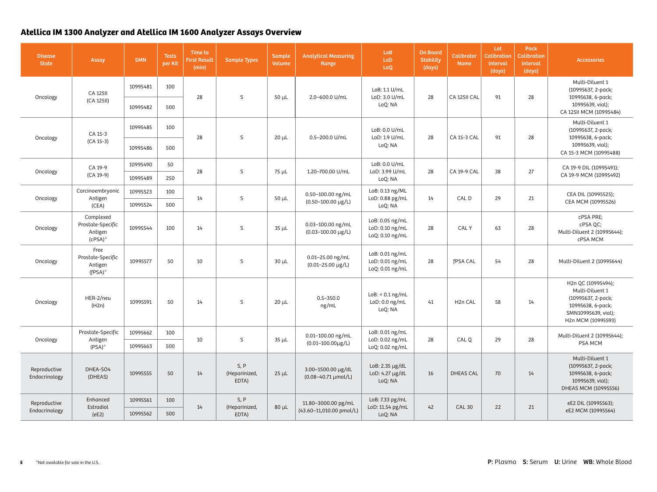| <b>Disease</b><br><b>State</b> | Assay                                                   | <b>SMN</b> | <b>Tests</b><br>per Kit | Time to<br><b>First Result</b><br>(min) | <b>Sample Types</b>            | Sample<br>Volume | <b>Analytical Measuring</b><br>Range                | Lo <sub>B</sub><br>LoD<br>LoQ                         | <b>On Board</b><br><b>Stability</b><br>(days) | <b>Calibrator</b><br><b>Name</b> | Lot<br><b>Calibration</b><br>Interval<br>(days) | Pack<br><b>Calibration</b><br>Interval<br>(days) | <b>Accessories</b>                                                                                                            |
|--------------------------------|---------------------------------------------------------|------------|-------------------------|-----------------------------------------|--------------------------------|------------------|-----------------------------------------------------|-------------------------------------------------------|-----------------------------------------------|----------------------------------|-------------------------------------------------|--------------------------------------------------|-------------------------------------------------------------------------------------------------------------------------------|
|                                | <b>CA 12511</b>                                         | 10995481   | 100                     |                                         | S                              |                  | 2.0-600.0 U/mL                                      | LoB: 1.1 U/mL                                         |                                               |                                  |                                                 |                                                  | Multi-Diluent 1<br>(10995637, 2-pack;                                                                                         |
| Oncology                       | (CA 125II)                                              | 10995482   | 500                     | 28                                      |                                | $50 \mu L$       |                                                     | LoD: 3.0 U/mL<br>LoQ: NA                              | 28                                            | CA 125II CAL                     | 91                                              | 28                                               | 10995638, 6-pack;<br>10995639, vial);<br>CA 125II MCM (10995484)                                                              |
| Oncology                       | CA 15-3                                                 | 10995485   | 100                     | 28                                      | <sub>S</sub>                   | $20 \mu L$       | 0.5-200.0 U/mL                                      | LoB: 0.0 U/mL<br>LoD: 1.9 U/mL                        | 28                                            | CA 15-3 CAL                      | 91                                              | 28                                               | Multi-Diluent 1<br>(10995637, 2-pack;<br>10995638, 6-pack;                                                                    |
|                                | $(CA 15-3)$                                             | 10995486   | 500                     |                                         |                                |                  |                                                     | LoQ: NA                                               |                                               |                                  |                                                 |                                                  | 10995639, vial);<br>CA 15-3 MCM (10995488)                                                                                    |
| Oncology                       | CA 19-9                                                 | 10995490   | 50                      | 28                                      | $\mathsf S$                    | $75 \mu L$       | 1.20-700.00 U/mL                                    | LoB: 0.0 U/mL<br>LoD: 3.99 U/mL                       | 28                                            | CA 19-9 CAL                      | 38                                              | 27                                               | CA 19-9 DIL (10995491);<br>CA 19-9 MCM (10995492)                                                                             |
|                                | (CA 19-9)                                               | 10995489   | 250                     |                                         |                                |                  |                                                     | LoQ: NA                                               |                                               |                                  |                                                 |                                                  |                                                                                                                               |
| Oncology<br>Antigen<br>(CEA)   | Carcinoembryonic                                        | 10995523   | 100                     | 14                                      | $\mathsf S$                    | $50 \mu L$       | 0.50-100.00 ng/mL                                   | LoB: 0.13 ng/ML<br>LoD: 0.88 pg/mL                    | 14                                            | CAL D                            | 29                                              | 21                                               | CEA DIL (10995525);                                                                                                           |
|                                |                                                         | 10995524   | 500                     |                                         |                                |                  | $(0.50 - 100.00 \text{ µg/L})$                      | LoQ: NA                                               |                                               |                                  |                                                 |                                                  | CEA MCM (10995526)                                                                                                            |
| Oncology                       | Complexed<br>Prostate-Specific<br>Antigen<br>$(CPSA)^*$ | 10995544   | 100                     | 14                                      | S                              | $35 \mu L$       | 0.03-100.00 ng/mL<br>$(0.03 - 100.00 \text{ µg/L})$ | LoB: 0.05 ng/mL<br>LoD: 0.10 ng/mL<br>LoQ: 0.10 ng/mL | 28                                            | CAL Y                            | 63                                              | 28                                               | cPSA PRE;<br>cPSA QC;<br>Multi-Diluent 2 (10995644);<br>cPSA MCM                                                              |
| Oncology                       | Free<br>Prostate-Specific<br>Antigen<br>$(FPSA)^*$      | 10995577   | 50                      | 10                                      | S                              | $30 \mu L$       | 0.01-25.00 ng/mL<br>$(0.01 - 25.00 \text{ µg/L})$   | LoB: 0.01 ng/mL<br>LoD: 0.01 ng/mL<br>LoQ: 0.01 ng/mL | 28                                            | <b>FPSA CAL</b>                  | 54                                              | 28                                               | Multi-Diluent 2 (10995644)                                                                                                    |
| Oncology                       | HER-2/neu<br>(H2n)                                      | 10995591   | 50                      | 14                                      | S                              | $20 \mu L$       | $0.5 - 350.0$<br>ng/mL                              | $LoB: < 0.1$ ng/mL<br>LoD: 0.0 ng/mL<br>LoQ: NA       | 41                                            | H <sub>2</sub> n CAL             | 58                                              | 14                                               | H2n QC (10995494);<br>Multi-Diluent 1<br>(10995637, 2-pack;<br>10995638, 6-pack;<br>SMN10995639, vial);<br>H2n MCM (10995593) |
|                                | Prostate-Specific                                       | 10995662   | 100                     |                                         | $\mathsf S$                    |                  | 0.01-100.00 ng/mL                                   | LoB: 0.01 ng/mL                                       |                                               |                                  | 29                                              |                                                  | Multi-Diluent 2 (10995644);                                                                                                   |
| Oncology                       | Antigen<br>$(PSA)*$                                     | 10995663   | 500                     | 10                                      |                                | $35 \mu L$       | $(0.01 - 100.00 \mu g/L)$                           | LoD: 0.02 ng/mL<br>LoQ: 0.02 ng/mL                    | 28                                            | CAL Q                            |                                                 | 28                                               | PSA MCM                                                                                                                       |
| Reproductive<br>Endocrinology  | DHEA-SO4<br>(DHEAS)                                     | 10995555   | 50                      | 14                                      | S, P<br>(Heparinized,<br>EDTA) | $25 \mu L$       | 3.00-1500.00 µg/dL<br>(0.08-40.71 µmol/L)           | LoB: 2.35 µg/dL<br>LoD: 4.27 µg/dL<br>LoQ: NA         | 16                                            | <b>DHEAS CAL</b>                 | 70                                              | 14                                               | Multi-Diluent 1<br>(10995637, 2-pack;<br>10995638, 6-pack;<br>10995639, vial);<br>DHEAS MCM (10995556)                        |
| Reproductive                   | Enhanced<br>Estradiol                                   | 10995561   | 100                     | 14                                      | S, P                           |                  | 11.80-3000.00 pg/mL                                 | LoB: 7.33 pg/mL<br>LoD: 11.54 pg/mL                   | $42\,$                                        | <b>CAL 30</b>                    | 22                                              |                                                  | eE2 DIL (10995563);                                                                                                           |
| Endocrinology                  | (eE2)                                                   | 10995562   | 500                     |                                         | (Heparinized,<br>EDTA)         | $80 \mu L$       | (43.60-11,010.00 pmol/L)                            | LoQ: NA                                               |                                               |                                  |                                                 | 21                                               | eE2 MCM (10995564)                                                                                                            |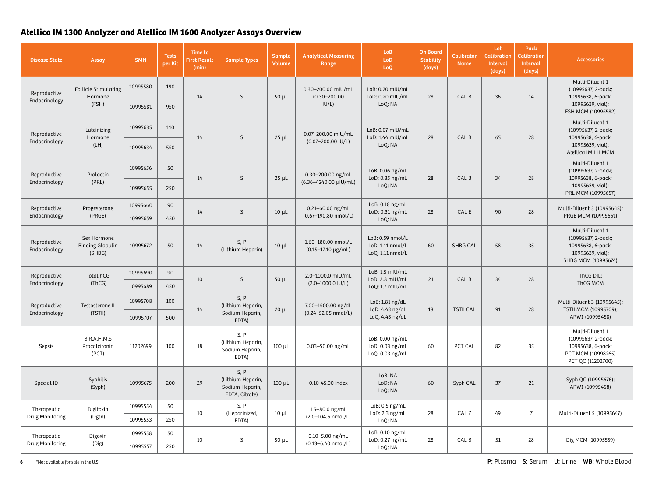| <b>Disease State</b>                                    | Assay                                            | <b>SMN</b> | <b>Tests</b><br>per Kit | Time to<br><b>First Result</b><br>(min) | <b>Sample Types</b>                                            | Sample<br>Volume | <b>Analytical Measuring</b><br>Range                 | <b>LoB</b><br>LoD<br>LoQ                                 | <b>On Board</b><br><b>Stability</b><br>(days) | <b>Calibrator</b><br><b>Name</b> | Lot<br><b>Calibration</b><br>Interval<br>(days) | <b>Pack</b><br><b>Calibration</b><br>Interval<br>(days) | <b>Accessories</b>                                                                                    |
|---------------------------------------------------------|--------------------------------------------------|------------|-------------------------|-----------------------------------------|----------------------------------------------------------------|------------------|------------------------------------------------------|----------------------------------------------------------|-----------------------------------------------|----------------------------------|-------------------------------------------------|---------------------------------------------------------|-------------------------------------------------------------------------------------------------------|
| Reproductive                                            | Follicle Stimulating                             | 10995580   | 190                     |                                         |                                                                |                  | 0.30-200.00 mIU/mL<br>$(0.30 - 200.00)$<br>IU/L)     | LoB: 0.20 mIU/mL                                         |                                               |                                  |                                                 |                                                         | Multi-Diluent 1<br>(10995637, 2-pack;                                                                 |
| Endocrinology                                           | Hormone<br>(FSH)                                 | 10995581   | 950                     | 14                                      | S.                                                             | $50 \mu L$       |                                                      | LoD: 0.20 mIU/mL<br>LoQ: NA                              | 28                                            | CAL B                            | 36                                              | 14                                                      | 10995638, 6-pack;<br>10995639, vial);<br>FSH MCM (10995582)                                           |
| Reproductive                                            | Luteinizing<br>Hormone                           | 10995635   | 110                     | 14                                      | S                                                              | $25 \mu L$       | 0.07-200.00 mIU/mL                                   | LoB: 0.07 mIU/mL<br>LoD: 1.44 mlU/mL                     | 28                                            | CAL B                            | 65                                              | 28                                                      | Multi-Diluent 1<br>(10995637, 2-pack;<br>10995638, 6-pack;                                            |
| Endocrinology                                           | (LH)                                             | 10995634   | 550                     |                                         |                                                                |                  | (0.07-200.00 IU/L)                                   | LoQ: NA                                                  |                                               |                                  |                                                 |                                                         | 10995639, vial);<br>Atellica IM LH MCM                                                                |
| Reproductive                                            | Prolactin                                        | 10995656   | 50                      | 14                                      |                                                                | $25 \mu L$       | 0.30-200.00 ng/mL                                    | LoB: 0.06 ng/mL<br>LoD: 0.35 ng/mL<br>LoQ: NA            | 28                                            | CAL B                            | 34                                              | 28                                                      | Multi-Diluent 1<br>(10995637, 2-pack;<br>10995638, 6-pack;                                            |
| (PRL)<br>Endocrinology                                  |                                                  | 10995655   | 250                     |                                         | S                                                              |                  | (6.36-4240.00 µIU/mL)                                |                                                          |                                               |                                  |                                                 |                                                         | 10995639, vial);<br>PRL MCM (10995657)                                                                |
| Reproductive<br>Progesterone<br>(PRGE)<br>Endocrinology |                                                  | 10995660   | 90                      | 14                                      | S                                                              | $10 \mu L$       | 0.21-60.00 ng/mL                                     | LoB: 0.18 ng/mL<br>LoD: 0.31 ng/mL                       | 28                                            | CAL E                            | 90                                              | 28                                                      | Multi-Diluent 3 (10995645);                                                                           |
|                                                         |                                                  | 10995659   | 450                     |                                         |                                                                |                  | (0.67-190.80 nmol/L)                                 | LoQ: NA                                                  |                                               |                                  |                                                 |                                                         | PRGE MCM (10995661)                                                                                   |
| Reproductive<br>Endocrinology                           | Sex Hormone<br><b>Binding Globulin</b><br>(SHBG) | 10995672   | 50                      | 14                                      | S, P<br>(Lithium Heparin)                                      | $10 \mu L$       | 1.60-180.00 nmol/L<br>$(0.15 - 17.10 \text{ µg/mL})$ | LoB: 0.59 nmol/L<br>LoD: 1.11 nmol/L<br>LoQ: 1.11 nmol/L | 60                                            | <b>SHBG CAL</b>                  | 58                                              | 35                                                      | Multi-Diluent 1<br>(10995637, 2-pack;<br>10995638, 6-pack;<br>10995639, vial);<br>SHBG MCM (10995674) |
| Reproductive                                            | Total hCG                                        | 10995690   | 90                      | 10                                      |                                                                |                  | 2.0-1000.0 mIU/mL                                    | LoB: 1.5 mIU/mL                                          |                                               |                                  |                                                 |                                                         | ThCG DIL;                                                                                             |
| Endocrinology                                           | (ThCG)                                           | 10995689   | 450                     |                                         | S                                                              | $50 \mu L$       | $(2.0 - 1000.0$ IU/L)                                | LoD: 2.8 mIU/mL<br>LoQ: 1.7 mIU/mL                       | 21                                            | CAL B                            | 34                                              | 28                                                      | ThCG MCM                                                                                              |
| Reproductive                                            | Testosterone II                                  | 10995708   | 100                     | 14                                      | S, P<br>(Lithium Heparin,<br>Sodium Heparin,<br>EDTA)          | $20 \mu L$       | 7.00-1500.00 ng/dL<br>(0.24-52.05 nmol/L)            | LoB: 1.81 ng/dL<br>LoD: 4.43 ng/dL<br>LoQ: 4.43 ng/dL    | 18                                            | <b>TSTII CAL</b>                 | 91                                              | 28                                                      | Multi-Diluent 3 (10995645);<br>TSTII MCM (10995709);<br>APW1 (10995458)                               |
| Endocrinology                                           | (TSTII)                                          | 10995707   | 500                     |                                         |                                                                |                  |                                                      |                                                          |                                               |                                  |                                                 |                                                         |                                                                                                       |
| Sepsis                                                  | B.R.A.H.M.S<br>Procalcitonin<br>(PCT)            | 11202699   | 100                     | 18                                      | S, P<br>(Lithium Heparin,<br>Sodium Heparin,<br>EDTA)          | $100 \mu L$      | 0.03-50.00 ng/mL                                     | LoB: 0.00 ng/mL<br>LoD: 0.03 ng/mL<br>LoQ: 0.03 ng/mL    | 60                                            | PCT CAL                          | 82                                              | 35                                                      | Multi-Diluent 1<br>(10995637, 2-pack;<br>10995638, 6-pack;<br>PCT MCM (10998265)<br>PCT QC (11202700) |
| Special ID                                              | Syphilis<br>(Syph)                               | 10995675   | 200                     | 29                                      | S, P<br>(Lithium Heparin,<br>Sodium Heparin,<br>EDTA, Citrate) | $100 \mu L$      | 0.10-45.00 index                                     | LoB: NA<br>LoD: NA<br>LoQ: NA                            | 60                                            | Syph CAL                         | 37                                              | 21                                                      | Syph QC (10995676);<br>APW1 (10995458)                                                                |
| Therapeutic                                             | Digitoxin                                        | 10995554   | 50                      |                                         | S, P                                                           |                  | 1.5-80.0 ng/mL                                       | LoB: 0.5 ng/mL                                           |                                               |                                  |                                                 | $\overline{7}$                                          |                                                                                                       |
| Drug Monitoring                                         | (Dgtn)                                           | 10995553   | 250                     | 10                                      | (Heparinized,<br>EDTA)                                         | $10 \mu L$       | (2.0-104.6 nmol/L)                                   | LoD: 2.3 ng/mL<br>LoQ: NA                                | 28                                            | CAL Z                            | 49                                              |                                                         | Multi-Diluent 5 (10995647)                                                                            |
| Therapeutic                                             | Digoxin                                          | 10995558   | 50                      |                                         |                                                                |                  | $0.10 - 5.00$ ng/mL                                  | LoB: 0.10 ng/mL                                          |                                               |                                  |                                                 |                                                         | Dig MCM (10995559)                                                                                    |
| Drug Monitoring                                         | (Dig)                                            | 10995557   | 250                     | 10                                      | $\mathsf S$                                                    | $50 \mu L$       | (0.13-6.40 nmol/L)                                   | LoD: 0.27 ng/mL<br>LoQ: NA                               | 28                                            | CAL B                            | 51                                              | 28                                                      |                                                                                                       |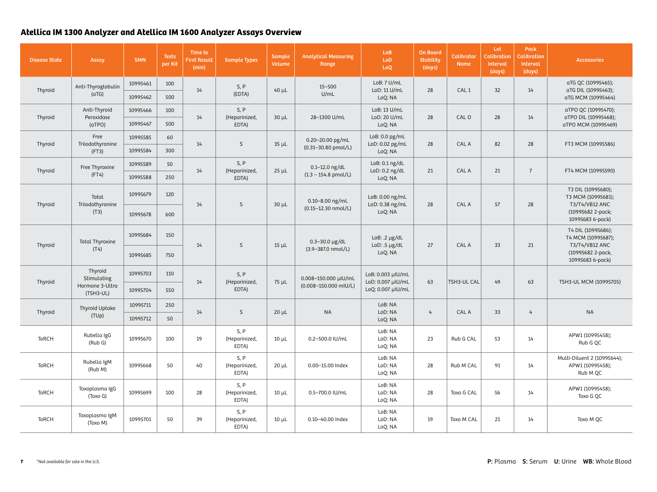| <b>Disease State</b>                         | <b>Assay</b>                         | <b>SMN</b>           | <b>Tests</b><br>per Kit | Time to<br><b>First Result</b><br>(min) | <b>Sample Types</b>            | <b>Sample</b><br><b>Volume</b> | <b>Analytical Measuring</b><br>Range                 | Lo <sub>B</sub><br>LoD<br>LoQ            | <b>On Board</b><br><b>Stability</b><br>(days) | <b>Calibrator</b><br><b>Name</b> | Lot<br><b>Calibration</b><br>Interval<br>(days) | Pack<br><b>Calibration</b><br>Interval<br>(days) | <b>Accessories</b>                                                 |
|----------------------------------------------|--------------------------------------|----------------------|-------------------------|-----------------------------------------|--------------------------------|--------------------------------|------------------------------------------------------|------------------------------------------|-----------------------------------------------|----------------------------------|-------------------------------------------------|--------------------------------------------------|--------------------------------------------------------------------|
| Thyroid                                      | Anti-Thyroglobulin<br>(aTG)          | 10995461<br>10995462 | 100<br>500              | 14                                      | S, P<br>(EDTA)                 | $40 \mu L$                     | $15 - 500$<br>U/mL                                   | LoB: 7 U/mL<br>LoD: 11 U/mL<br>LoQ: NA   | 28                                            | CAL <sub>1</sub>                 | 32                                              | 14                                               | aTG QC (10995465);<br>aTG DIL (10995463);<br>aTG MCM (10995464)    |
| Thyroid                                      | Anti-Thyroid<br>Peroxidase<br>(aTPO) | 10995466<br>10995467 | 100<br>500              | 14                                      | S, P<br>(Heparinized,<br>EDTA) | $30 \mu L$                     | 28-1300 U/mL                                         | LoB: 13 U/mL<br>LoD: 20 U/mL<br>LoQ: NA  | 28                                            | CAL O                            | 28                                              | 14                                               | aTPO QC (10995470);<br>aTPO DIL (10995468);<br>aTPO MCM (10995469) |
|                                              | Free                                 | 10995585             | 60                      |                                         |                                |                                | 0.20-20.00 pg/mL                                     | LoB: 0.0 pg/mL                           |                                               |                                  |                                                 |                                                  |                                                                    |
| Thyroid                                      | Triiodothyronine<br>(FT3)            | 10995584             | 300                     | 14                                      | S                              | $35 \mu L$                     | (0.31-30.80 pmol/L)                                  | LoD: 0.02 pg/mL<br>LoQ: NA               | 28                                            | CAL A                            | 82                                              | 28                                               | FT3 MCM (10995586)                                                 |
| Thyroid                                      | Free Thyroxine                       | 10995589             | 50                      | 14                                      | S, P<br>(Heparinized,          | $25 \mu L$                     | $0.1 - 12.0$ ng/dL<br>$(1.3 - 154.8 \text{ pmol/L})$ | LoB: 0.1 ng/dL<br>LoD: 0.2 ng/dL         | 21                                            | CAL A                            |                                                 | $\overline{7}$                                   |                                                                    |
|                                              | (FT4)                                | 10995588             | 250                     |                                         | EDTA)                          |                                |                                                      | LoQ: NA                                  |                                               |                                  | 21                                              |                                                  | FT4 MCM (10995590)                                                 |
| Total<br>Triiodothyronine<br>Thyroid<br>(T3) |                                      | 10995679             | 120                     | 14                                      | S                              | $30 \mu L$                     | $0.10 - 8.00$ ng/mL                                  | LoB: 0.00 ng/mL<br>LoD: 0.38 ng/mL       | 28                                            | CAL A                            | 57                                              | 28                                               | T3 DIL (10995680);<br>T3 MCM (10995681);<br>T3/T4/VB12 ANC         |
|                                              |                                      | 10995678             | 600                     |                                         |                                |                                | (0.15-12.30 nmol/L)                                  | LoQ: NA                                  |                                               |                                  |                                                 |                                                  | (10995682 2-pack;<br>10995683 6-pack)                              |
| Thyroid<br>(T4)                              | <b>Total Thyroxine</b>               | 10995684             | 150                     | 14                                      | $\mathsf{S}$                   | $15 \mu L$                     | $0.3 - 30.0 \,\mu g/dL$                              | LoB: $.2 \mu g/dL$<br>LoD: $.5 \mu g/dL$ | 27                                            | CAL A                            | 33                                              | 21                                               | T4 DIL (10995686);<br>T4 MCM (10995687);<br>T3/T4/VB12 ANC         |
|                                              |                                      | 10995685             | 750                     |                                         |                                |                                | (3.9-387.0 nmol/L)                                   | LoQ: NA                                  |                                               |                                  |                                                 |                                                  | (10995682 2-pack,<br>10995683 6-pack)                              |
| Thyroid                                      | Thyroid<br>Stimulating               | 10995703             | 110                     | 14                                      | S, P<br>(Heparinized,<br>EDTA) | $75 \mu L$                     | 0.008-150.000 µIU/mL<br>(0.008-150.000 mIU/L)        | LoB: 0.003 µIU/mL<br>LoD: 0.007 µIU/mL   | 63                                            | TSH3-UL CAL                      | 49                                              | 63                                               |                                                                    |
|                                              | Hormone 3-Ultra<br>(TSH3-UL)         | 10995704             | 550                     |                                         |                                |                                |                                                      | LoQ: 0.007 µIU/mL                        |                                               |                                  |                                                 |                                                  | TSH3-UL MCM (10995705)                                             |
| Thyroid                                      | Thyroid Uptake                       | 10995711             | 250                     | 14                                      | $\mathsf{S}$                   | $20 \mu L$                     | <b>NA</b>                                            | LoB: NA<br>LoD: NA                       | 4                                             | CAL A                            | 33                                              | $\overline{4}$                                   | <b>NA</b>                                                          |
|                                              | (TUp)                                | 10995712             | 50                      |                                         |                                |                                |                                                      | LoQ: NA                                  |                                               |                                  |                                                 |                                                  |                                                                    |
| <b>ToRCH</b>                                 | Rubella IgG<br>(Rub G)               | 10995670             | 100                     | 19                                      | S, P<br>(Heparinized,<br>EDTA) | $10 \mu L$                     | 0.2-500.0 IU/mL                                      | LoB: NA<br>LoD: NA<br>LoQ: NA            | 23                                            | Rub G CAL                        | 53                                              | 14                                               | APW1 (10995458);<br>Rub G QC                                       |
| <b>ToRCH</b>                                 | Rubella IgM<br>(Rub M)               | 10995668             | 50                      | 40                                      | S, P<br>(Heparinized,<br>EDTA) | $20 \mu L$                     | 0.00-15.00 Index                                     | LoB: NA<br>LoD: NA<br>LoQ: NA            | 28                                            | Rub M CAL                        | 91                                              | 14                                               | Multi-Diluent 2 (10995644);<br>APW1 (10995458);<br>Rub M QC        |
| <b>ToRCH</b>                                 | Toxoplasma IgG<br>(Toxo G)           | 10995699             | 100                     | 28                                      | S, P<br>(Heparinized,<br>EDTA) | $10 \mu L$                     | 0.5-700.0 IU/mL                                      | LoB: NA<br>LoD: NA<br>LoQ: NA            | 28                                            | Toxo G CAL                       | 56                                              | 14                                               | APW1 (10995458);<br>Toxo G QC                                      |
| ToRCH                                        | Toxoplasma IgM<br>(Toxo M)           | 10995701             | 50                      | 39                                      | S, P<br>(Heparinized,<br>EDTA) | $10 \mu L$                     | 0.10-40.00 Index                                     | LoB: NA<br>LoD: NA<br>LoQ: NA            | 19                                            | Toxo M CAL                       | 21                                              | 14                                               | Toxo M QC                                                          |